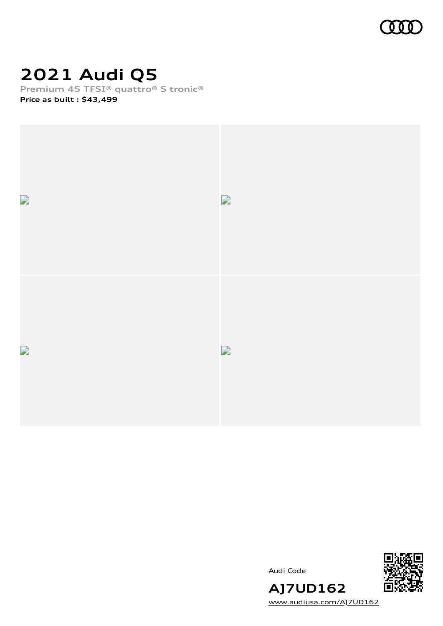

# **2021 Audi Q5**

**Premium 45 TFSI® quattro® S tronic®**

**Price as built [:](#page-10-0) \$43,499**



Audi Code



[www.audiusa.com/AJ7UD162](https://www.audiusa.com/AJ7UD162)

**AJ7UD162**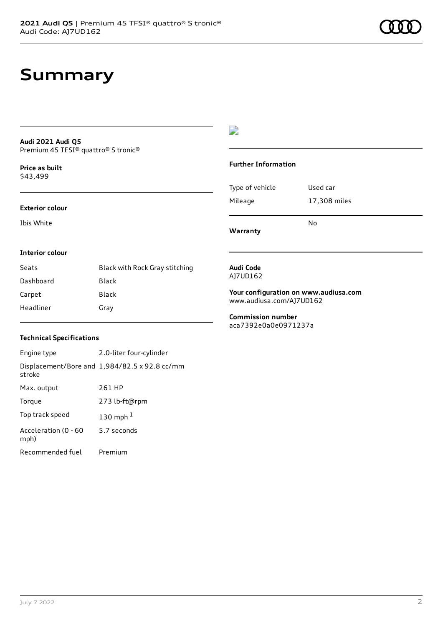# **Summary**

#### **Audi 2021 Audi Q5** Premium 45 TFSI® quattro® S tronic®

**Price as buil[t](#page-10-0)** \$43,499

#### **Exterior colour**

Ibis White

### $\overline{\phantom{a}}$

#### **Further Information**

|                 | N٥           |
|-----------------|--------------|
| Mileage         | 17,308 miles |
| Type of vehicle | Used car     |

**Warranty**

#### **Interior colour**

| Seats     | Black with Rock Gray stitching |
|-----------|--------------------------------|
| Dashboard | Black                          |
| Carpet    | Black                          |
| Headliner | Gray                           |

#### **Audi Code** AJ7UD162

**Your configuration on www.audiusa.com** [www.audiusa.com/AJ7UD162](https://www.audiusa.com/AJ7UD162)

**Commission number** aca7392e0a0e0971237a

#### **Technical Specifications**

| Engine type                  | 2.0-liter four-cylinder                       |
|------------------------------|-----------------------------------------------|
| stroke                       | Displacement/Bore and 1,984/82.5 x 92.8 cc/mm |
| Max. output                  | 261 HP                                        |
| Torque                       | 273 lb-ft@rpm                                 |
| Top track speed              | 130 mph $1$                                   |
| Acceleration (0 - 60<br>mph) | 5.7 seconds                                   |
| Recommended fuel             | Premium                                       |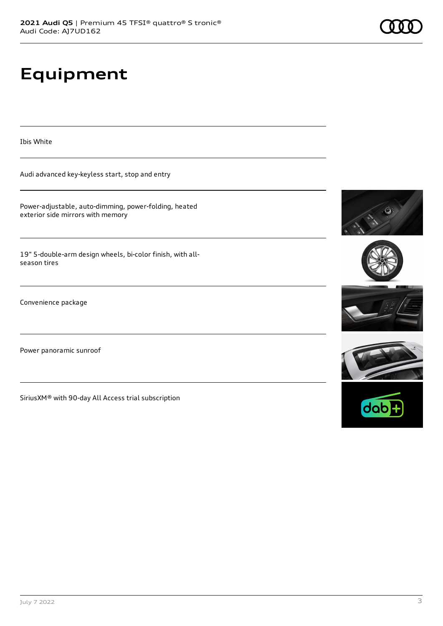# **Equipment**

Ibis White

Audi advanced key-keyless start, stop and entry

Power-adjustable, auto-dimming, power-folding, heated exterior side mirrors with memory

19" 5-double-arm design wheels, bi-color finish, with allseason tires

Convenience package

Power panoramic sunroof

SiriusXM® with 90-day All Access trial subscription









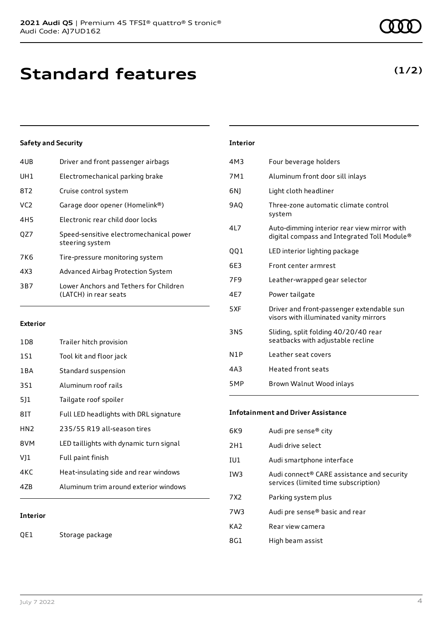| 4UB             | Driver and front passenger airbags                              |
|-----------------|-----------------------------------------------------------------|
| UH1             | Electromechanical parking brake                                 |
| 8T2             | Cruise control system                                           |
| VC <sub>2</sub> | Garage door opener (Homelink®)                                  |
| 4H5             | Electronic rear child door locks                                |
| OZ7             | Speed-sensitive electromechanical power<br>steering system      |
| 7K6             | Tire-pressure monitoring system                                 |
| 4X3             | Advanced Airbag Protection System                               |
| 3B7             | Lower Anchors and Tethers for Children<br>(LATCH) in rear seats |
|                 |                                                                 |

#### **Exterior**

| 1D8             | Trailer hitch provision                 |
|-----------------|-----------------------------------------|
| 1S1             | Tool kit and floor jack                 |
| 1 B A           | Standard suspension                     |
| 3S1             | Aluminum roof rails                     |
| 511             | Tailgate roof spoiler                   |
| 81T             | Full LED headlights with DRL signature  |
| HN <sub>2</sub> | 235/55 R19 all-season tires             |
| 8VM             | LED taillights with dynamic turn signal |
| V]1             | Full paint finish                       |
| 4KC             | Heat-insulating side and rear windows   |
| 47R             | Aluminum trim around exterior windows   |
|                 |                                         |

#### **Interior**

QE1 Storage package

| <b>Interior</b> |                                 |
|-----------------|---------------------------------|
| 4M3             | Four beverage holders           |
| 7M1             | Aluminum front door sill inlays |

| Light cloth headliner                                                                      |
|--------------------------------------------------------------------------------------------|
| Three-zone automatic climate control<br>system                                             |
| Auto-dimming interior rear view mirror with<br>digital compass and Integrated Toll Module® |
| LED interior lighting package                                                              |
| Front center armrest                                                                       |
| Leather-wrapped gear selector                                                              |
| Power tailgate                                                                             |
| Driver and front-passenger extendable sun<br>visors with illuminated vanity mirrors        |
| Sliding, split folding 40/20/40 rear<br>seatbacks with adjustable recline                  |
| Leather seat covers                                                                        |
|                                                                                            |

| 4A3 | Heated front seats       |
|-----|--------------------------|
| 5MP | Brown Walnut Wood inlays |

#### **Infotainment and Driver Assistance**

| 6K9             | Audi pre sense <sup>®</sup> city                                                               |
|-----------------|------------------------------------------------------------------------------------------------|
| 2H1             | Audi drive select                                                                              |
| IU1             | Audi smartphone interface                                                                      |
| IW <sub>3</sub> | Audi connect <sup>®</sup> CARE assistance and security<br>services (limited time subscription) |
| 7X2             | Parking system plus                                                                            |
| 7W3             | Audi pre sense® basic and rear                                                                 |
| KA <sub>2</sub> | Rear view camera                                                                               |
| 8G1             | High beam assist                                                                               |
|                 |                                                                                                |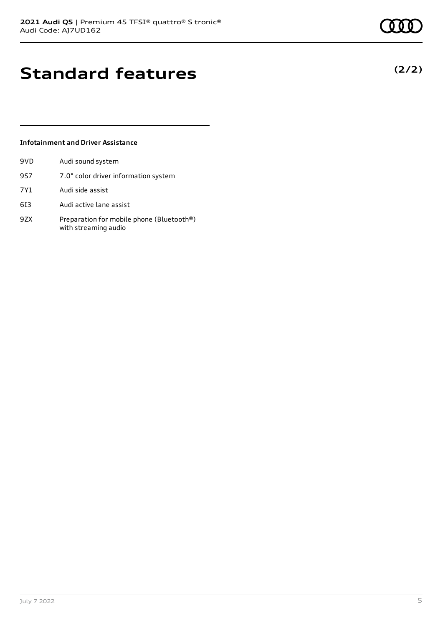**(2/2)**

# **Standard features**

#### **Infotainment and Driver Assistance**

| 9VD | Audi sound system                                                 |
|-----|-------------------------------------------------------------------|
| 9S7 | 7.0" color driver information system                              |
| 7Y1 | Audi side assist                                                  |
| 613 | Audi active lane assist                                           |
| 9ZX | Preparation for mobile phone (Bluetooth®)<br>with streaming audio |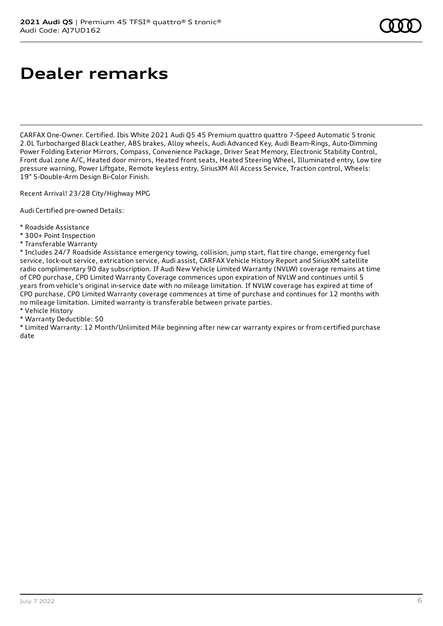# **Dealer remarks**

CARFAX One-Owner. Certified. Ibis White 2021 Audi Q5 45 Premium quattro quattro 7-Speed Automatic S tronic 2.0L Turbocharged Black Leather, ABS brakes, Alloy wheels, Audi Advanced Key, Audi Beam-Rings, Auto-Dimming Power Folding Exterior Mirrors, Compass, Convenience Package, Driver Seat Memory, Electronic Stability Control, Front dual zone A/C, Heated door mirrors, Heated front seats, Heated Steering Wheel, Illuminated entry, Low tire pressure warning, Power Liftgate, Remote keyless entry, SiriusXM All Access Service, Traction control, Wheels: 19" 5-Double-Arm Design Bi-Color Finish.

Recent Arrival! 23/28 City/Highway MPG

Audi Certified pre-owned Details:

- \* Roadside Assistance
- \* 300+ Point Inspection
- \* Transferable Warranty

\* Includes 24/7 Roadside Assistance emergency towing, collision, jump start, flat tire change, emergency fuel service, lock-out service, extrication service, Audi assist, CARFAX Vehicle History Report and SiriusXM satellite radio complimentary 90 day subscription. If Audi New Vehicle Limited Warranty (NVLW) coverage remains at time of CPO purchase, CPO Limited Warranty Coverage commences upon expiration of NVLW and continues until 5 years from vehicle's original in-service date with no mileage limitation. If NVLW coverage has expired at time of CPO purchase, CPO Limited Warranty coverage commences at time of purchase and continues for 12 months with no mileage limitation. Limited warranty is transferable between private parties.

\* Vehicle History

\* Warranty Deductible: \$0

\* Limited Warranty: 12 Month/Unlimited Mile beginning after new car warranty expires or from certified purchase date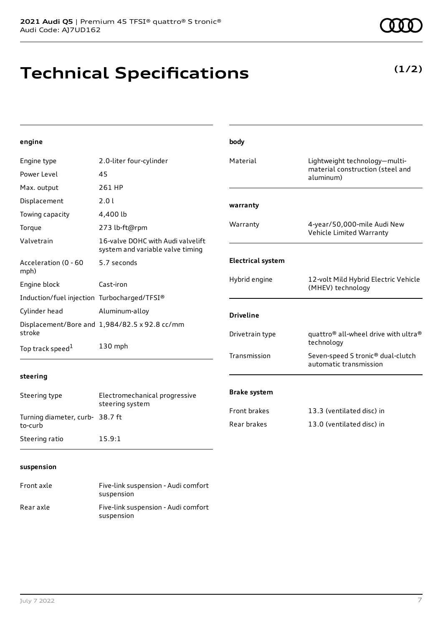# **Technical Specifications**

**(1/2)**

| engine                                      |                                                                       | body                     |                                                              |
|---------------------------------------------|-----------------------------------------------------------------------|--------------------------|--------------------------------------------------------------|
| Engine type                                 | 2.0-liter four-cylinder                                               | Material                 | Lightweight technology-multi-                                |
| Power Level                                 | 45                                                                    |                          | material construction (steel and<br>aluminum)                |
| Max. output                                 | 261 HP                                                                |                          |                                                              |
| Displacement                                | 2.0 l                                                                 | warranty                 |                                                              |
| Towing capacity                             | 4,400 lb                                                              |                          |                                                              |
| Torque                                      | 273 lb-ft@rpm                                                         | Warranty                 | 4-year/50,000-mile Audi New<br>Vehicle Limited Warranty      |
| Valvetrain                                  | 16-valve DOHC with Audi valvelift<br>system and variable valve timing |                          |                                                              |
| Acceleration (0 - 60<br>mph)                | 5.7 seconds                                                           | <b>Electrical system</b> |                                                              |
| Engine block                                | Cast-iron                                                             | Hybrid engine            | 12-volt Mild Hybrid Electric Vehicle<br>(MHEV) technology    |
| Induction/fuel injection Turbocharged/TFSI® |                                                                       |                          |                                                              |
| Cylinder head                               | Aluminum-alloy                                                        | <b>Driveline</b>         |                                                              |
| stroke                                      | Displacement/Bore and 1,984/82.5 x 92.8 cc/mm                         | Drivetrain type          | quattro <sup>®</sup> all-wheel drive with ultra <sup>®</sup> |
| Top track speed <sup>1</sup>                | 130 mph                                                               |                          | technology                                                   |
|                                             |                                                                       | Transmission             | Seven-speed S tronic® dual-clutch<br>automatic transmission  |
| steering                                    |                                                                       |                          |                                                              |
| Steering type                               | Electromechanical progressive<br>steering system                      | <b>Brake system</b>      |                                                              |
| Turning diameter, curb- 38.7 ft             |                                                                       | Front brakes             | 13.3 (ventilated disc) in                                    |
| to-curb                                     |                                                                       | Rear brakes              | 13.0 (ventilated disc) in                                    |
| Steering ratio                              | 15.9:1                                                                |                          |                                                              |
|                                             |                                                                       |                          |                                                              |
| suspension                                  |                                                                       |                          |                                                              |

#### Front axle Five-link suspension - Audi comfort suspension Rear axle Five-link suspension - Audi comfort suspension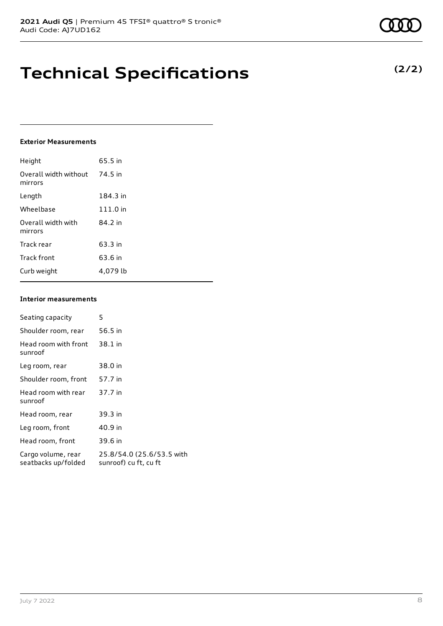# **Technical Specifications**

#### **Exterior Measurements**

| Height                           | 65.5 in  |
|----------------------------------|----------|
| Overall width without<br>mirrors | 74.5 in  |
| Length                           | 184.3 in |
| Wheelbase                        | 111.0 in |
| Overall width with<br>mirrors    | 84.2 in  |
| Track rear                       | 63.3 in  |
| Track front                      | 63.6 in  |
| Curb weight                      | 4.079 lb |

#### **Interior measurements**

| Seating capacity                          | 5                                                  |
|-------------------------------------------|----------------------------------------------------|
| Shoulder room, rear                       | 56.5 in                                            |
| Head room with front<br>sunroof           | 38.1 in                                            |
| Leg room, rear                            | 38.0 in                                            |
| Shoulder room, front                      | 57.7 in                                            |
| Head room with rear<br>sunroof            | 37.7 in                                            |
| Head room, rear                           | 39.3 in                                            |
| Leg room, front                           | 40.9 in                                            |
| Head room, front                          | 39.6 in                                            |
| Cargo volume, rear<br>seatbacks up/folded | 25.8/54.0 (25.6/53.5 with<br>sunroof) cu ft, cu ft |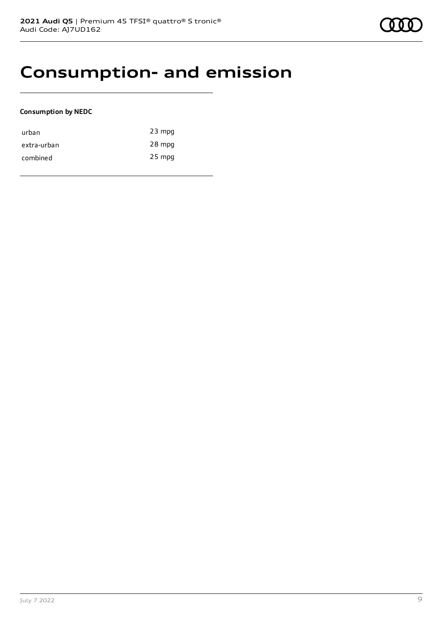## **Consumption- and emission**

#### **Consumption by NEDC**

| urban       | $23$ mpg |
|-------------|----------|
| extra-urban | 28 mpg   |
| combined    | $25$ mpg |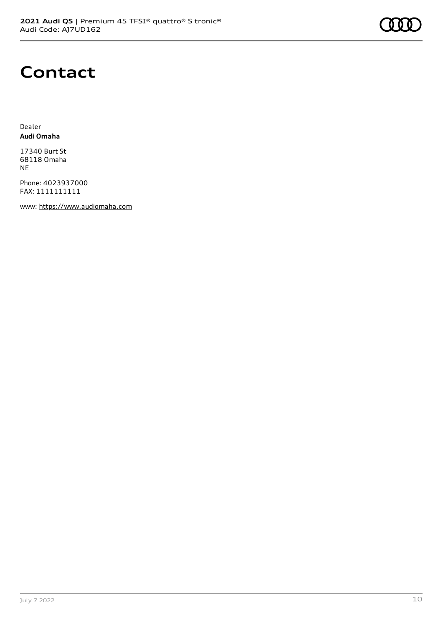

## **Contact**

Dealer **Audi Omaha**

17340 Burt St 68118 Omaha NE

Phone: 4023937000 FAX: 1111111111

www: [https://www.audiomaha.com](https://www.audiomaha.com/)